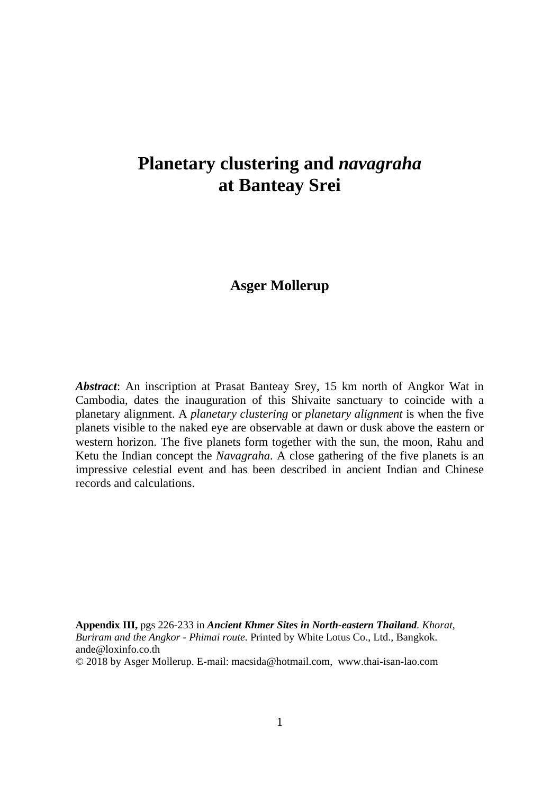## **Planetary clustering and** *navagraha* **at Banteay Srei**

### **Asger Mollerup**

*Abstract*: An inscription at Prasat Banteay Srey, 15 km north of Angkor Wat in Cambodia, dates the inauguration of this Shivaite sanctuary to coincide with a planetary alignment. A *planetary clustering* or *planetary alignment* is when the five planets visible to the naked eye are observable at dawn or dusk above the eastern or western horizon. The five planets form together with the sun, the moon, Rahu and Ketu the Indian concept the *Navagraha*. A close gathering of the five planets is an impressive celestial event and has been described in ancient Indian and Chinese records and calculations.

**Appendix III,** pgs 226-233 in *Ancient Khmer Sites in North-eastern Thailand. Khorat, Buriram and the Angkor - Phimai route.* Printed by White Lotus Co., Ltd., Bangkok. ande@loxinfo.co.th

© 2018 by Asger Mollerup. E-mail: macsida@hotmail.com, www.thai-isan-lao.com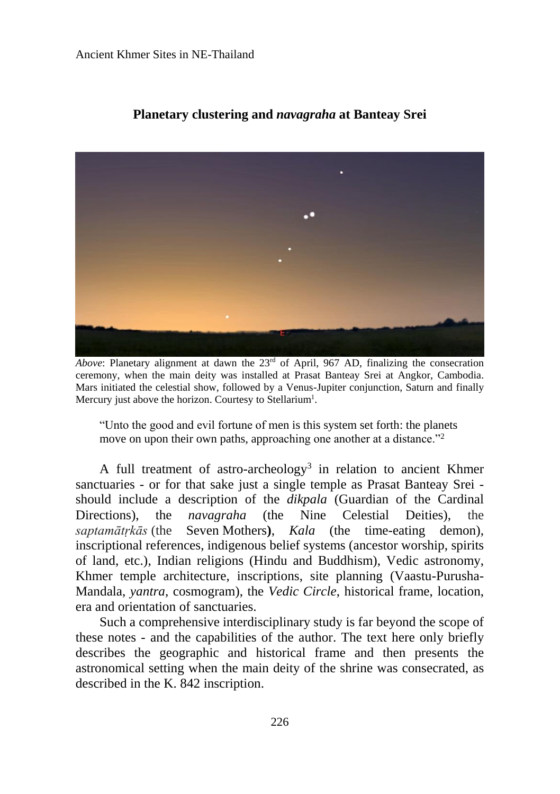

#### **Planetary clustering and** *navagraha* **at Banteay Srei**

*Above*: Planetary alignment at dawn the  $23<sup>rd</sup>$  of April, 967 AD, finalizing the consecration ceremony, when the main deity was installed at Prasat Banteay Srei at Angkor, Cambodia. Mars initiated the celestial show, followed by a Venus-Jupiter conjunction, Saturn and finally Mercury just above the horizon. Courtesy to Stellarium<sup>1</sup>.

"Unto the good and evil fortune of men is this system set forth: the planets move on upon their own paths, approaching one another at a distance."<sup>2</sup>

A full treatment of astro-archeology<sup>3</sup> in relation to ancient Khmer sanctuaries - or for that sake just a single temple as Prasat Banteay Srei should include a description of the *dikpala* (Guardian of the Cardinal Directions), the *navagraha* (the Nine Celestial Deities), the *saptamātṛkās* (the Seven Mothers**)**, *Kala* (the time-eating demon), inscriptional references, indigenous belief systems (ancestor worship, spirits of land, etc.), Indian religions (Hindu and Buddhism), Vedic astronomy, Khmer temple architecture, inscriptions, site planning (Vaastu-Purusha-Mandala, *yantra*, cosmogram), the *Vedic Circle*, historical frame, location, era and orientation of sanctuaries.

Such a comprehensive interdisciplinary study is far beyond the scope of these notes - and the capabilities of the author. The text here only briefly describes the geographic and historical frame and then presents the astronomical setting when the main deity of the shrine was consecrated, as described in the K. 842 inscription.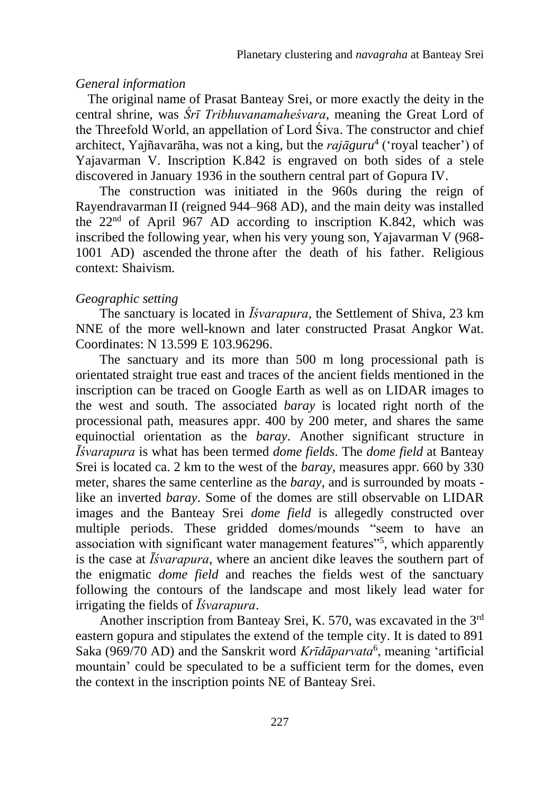#### *General information*

The original name of Prasat Banteay Srei, or more exactly the deity in the central shrine, was *Śrī Tribhuvanamaheśvara*, meaning the Great Lord of the Threefold World, an appellation of Lord Śiva. The constructor and chief architect, Yajñavarāha, was not a king, but the *rajāguru*<sup>4</sup> ('royal teacher') of Yajavarman V. Inscription K.842 is engraved on both sides of a stele discovered in January 1936 in the southern central part of Gopura IV.

The construction was initiated in the 960s during the reign of Rayendravarman II (reigned 944–968 AD), and the main deity was installed the  $22<sup>nd</sup>$  of April 967 AD according to inscription K.842, which was inscribed the following year, when his very young son, Yajavarman V (968- 1001 AD) ascended the throne after the death of his father. Religious context: Shaivism.

#### *Geographic setting*

The sanctuary is located in *Īśvarapura*, the Settlement of Shiva, 23 km NNE of the more well-known and later constructed Prasat Angkor Wat. Coordinates: N 13.599 E 103.96296.

The sanctuary and its more than 500 m long processional path is orientated straight true east and traces of the ancient fields mentioned in the inscription can be traced on Google Earth as well as on LIDAR images to the west and south. The associated *baray* is located right north of the processional path, measures appr. 400 by 200 meter, and shares the same equinoctial orientation as the *baray*. Another significant structure in *Īśvarapura* is what has been termed *dome fields*. The *dome field* at Banteay Srei is located ca. 2 km to the west of the *baray*, measures appr. 660 by 330 meter, shares the same centerline as the *baray*, and is surrounded by moats like an inverted *baray*. Some of the domes are still observable on LIDAR images and the Banteay Srei *dome field* is allegedly constructed over multiple periods. These gridded domes/mounds "seem to have an association with significant water management features"<sup>5</sup>, which apparently is the case at *Īśvarapura*, where an ancient dike leaves the southern part of the enigmatic *dome field* and reaches the fields west of the sanctuary following the contours of the landscape and most likely lead water for irrigating the fields of *Īśvarapura*.

Another inscription from Banteay Srei, K. 570, was excavated in the 3rd eastern gopura and stipulates the extend of the temple city. It is dated to 891 Saka (969/70 AD) and the Sanskrit word *Krīdāparvata*<sup>6</sup>, meaning 'artificial mountain' could be speculated to be a sufficient term for the domes, even the context in the inscription points NE of Banteay Srei.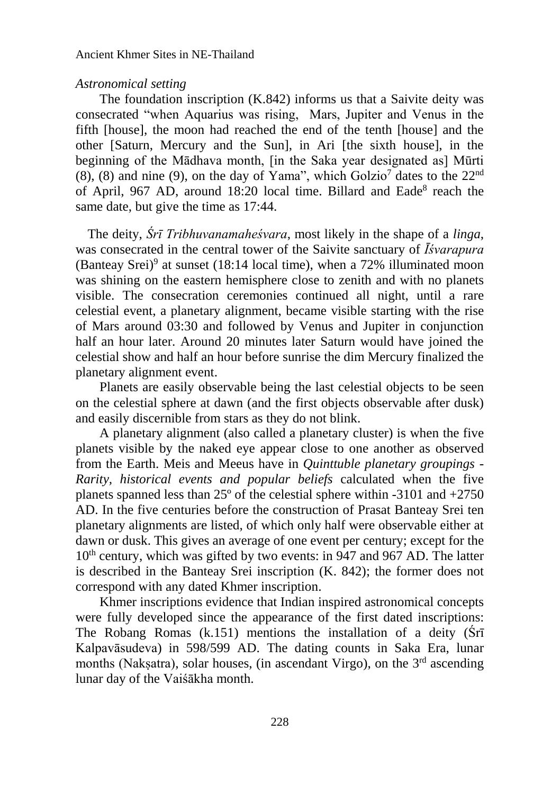#### *Astronomical setting*

The foundation inscription (K.842) informs us that a Saivite deity was consecrated "when Aquarius was rising, Mars, Jupiter and Venus in the fifth [house], the moon had reached the end of the tenth [house] and the other [Saturn, Mercury and the Sun], in Ari [the sixth house], in the beginning of the Mādhava month, [in the Saka year designated as] Mūrti  $(8)$ ,  $(8)$  and nine  $(9)$ , on the day of Yama", which Golzio<sup>7</sup> dates to the  $22<sup>nd</sup>$ of April, 967 AD, around 18:20 local time. Billard and Eade<sup>8</sup> reach the same date, but give the time as 17:44.

The deity, *Śrī Tribhuvanamaheśvara*, most likely in the shape of a *linga*, was consecrated in the central tower of the Saivite sanctuary of *Īśvarapura* (Banteay Srei)<sup>9</sup> at sunset (18:14 local time), when a  $72\%$  illuminated moon was shining on the eastern hemisphere close to zenith and with no planets visible. The consecration ceremonies continued all night, until a rare celestial event, a planetary alignment, became visible starting with the rise of Mars around 03:30 and followed by Venus and Jupiter in conjunction half an hour later. Around 20 minutes later Saturn would have joined the celestial show and half an hour before sunrise the dim Mercury finalized the planetary alignment event.

Planets are easily observable being the last celestial objects to be seen on the celestial sphere at dawn (and the first objects observable after dusk) and easily discernible from stars as they do not blink.

A planetary alignment (also called a planetary cluster) is when the five planets visible by the naked eye appear close to one another as observed from the Earth. Meis and Meeus have in *Quinttuble planetary groupings - Rarity, historical events and popular beliefs* calculated when the five planets spanned less than 25º of the celestial sphere within -3101 and +2750 AD. In the five centuries before the construction of Prasat Banteay Srei ten planetary alignments are listed, of which only half were observable either at dawn or dusk. This gives an average of one event per century; except for the  $10<sup>th</sup>$  century, which was gifted by two events: in 947 and 967 AD. The latter is described in the Banteay Srei inscription (K. 842); the former does not correspond with any dated Khmer inscription.

Khmer inscriptions evidence that Indian inspired astronomical concepts were fully developed since the appearance of the first dated inscriptions: The Robang Romas (k.151) mentions the installation of a deity (Śrī Kalpavāsudeva) in 598/599 AD. The dating counts in Saka Era, lunar months (Naksatra), solar houses, (in ascendant Virgo), on the 3<sup>rd</sup> ascending lunar day of the Vaiśākha month.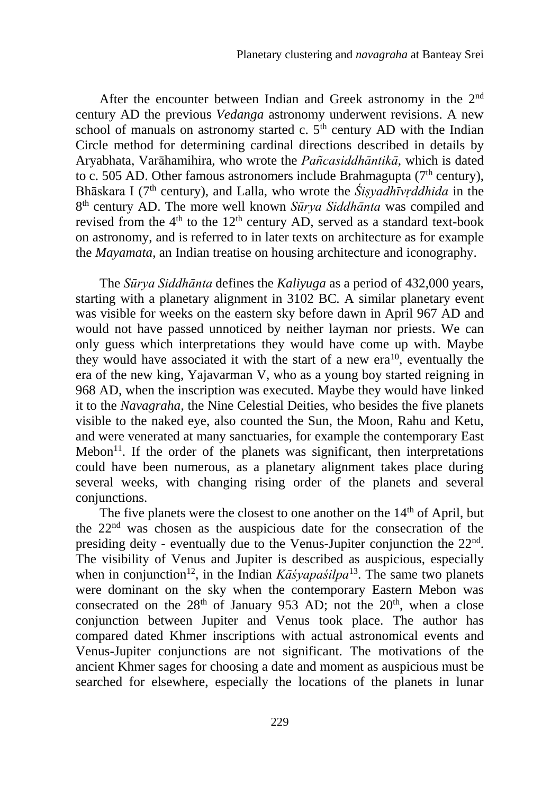After the encounter between Indian and Greek astronomy in the 2<sup>nd</sup> century AD the previous *Vedanga* astronomy underwent revisions. A new school of manuals on astronomy started c.  $5<sup>th</sup>$  century AD with the Indian Circle method for determining cardinal directions described in details by Aryabhata, Varāhamihira, who wrote the *Pañcasiddhāntikā*, which is dated to c. 505 AD. Other famous astronomers include Brahmagupta ( $7<sup>th</sup>$  century), Bhāskara I (7th century), and Lalla, who wrote the *Śiṣyadhīvṛddhida* in the 8 th century AD. The more well known *Sūrya Siddhānta* was compiled and revised from the  $4<sup>th</sup>$  to the 12<sup>th</sup> century AD, served as a standard text-book on astronomy, and is referred to in later texts on architecture as for example the *Mayamata*, an Indian treatise on housing architecture and iconography.

The *Sūrya Siddhānta* defines the *Kaliyuga* as a period of 432,000 years, starting with a planetary alignment in 3102 BC. A similar planetary event was visible for weeks on the eastern sky before dawn in April 967 AD and would not have passed unnoticed by neither layman nor priests. We can only guess which interpretations they would have come up with. Maybe they would have associated it with the start of a new  $era^{10}$ , eventually the era of the new king, Yajavarman V, who as a young boy started reigning in 968 AD, when the inscription was executed. Maybe they would have linked it to the *Navagraha*, the Nine Celestial Deities, who besides the five planets visible to the naked eye, also counted the Sun, the Moon, Rahu and Ketu, and were venerated at many sanctuaries, for example the contemporary East  $Mebon<sup>11</sup>$ . If the order of the planets was significant, then interpretations could have been numerous, as a planetary alignment takes place during several weeks, with changing rising order of the planets and several conjunctions.

The five planets were the closest to one another on the 14<sup>th</sup> of April, but the 22nd was chosen as the auspicious date for the consecration of the presiding deity - eventually due to the Venus-Jupiter conjunction the 22<sup>nd</sup>. The visibility of Venus and Jupiter is described as auspicious, especially when in conjunction<sup>12</sup>, in the Indian *Kāśyapaśilpa*<sup>13</sup>. The same two planets were dominant on the sky when the contemporary Eastern Mebon was consecrated on the  $28<sup>th</sup>$  of January 953 AD; not the  $20<sup>th</sup>$ , when a close conjunction between Jupiter and Venus took place. The author has compared dated Khmer inscriptions with actual astronomical events and Venus-Jupiter conjunctions are not significant. The motivations of the ancient Khmer sages for choosing a date and moment as auspicious must be searched for elsewhere, especially the locations of the planets in lunar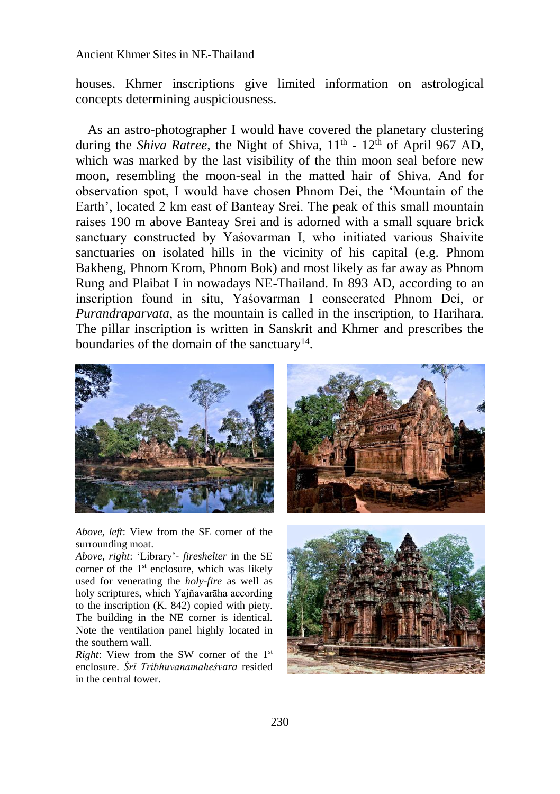houses. Khmer inscriptions give limited information on astrological concepts determining auspiciousness.

As an astro-photographer I would have covered the planetary clustering during the *Shiva Ratree*, the Night of Shiva, 11<sup>th</sup> - 12<sup>th</sup> of April 967 AD, which was marked by the last visibility of the thin moon seal before new moon, resembling the moon-seal in the matted hair of Shiva. And for observation spot, I would have chosen Phnom Dei, the 'Mountain of the Earth', located 2 km east of Banteay Srei. The peak of this small mountain raises 190 m above Banteay Srei and is adorned with a small square brick sanctuary constructed by Yaśovarman I, who initiated various Shaivite sanctuaries on isolated hills in the vicinity of his capital (e.g. Phnom Bakheng, Phnom Krom, Phnom Bok) and most likely as far away as Phnom Rung and Plaibat I in nowadays NE-Thailand. In 893 AD, according to an inscription found in situ, Yaśovarman I consecrated Phnom Dei, or *Purandraparvata*, as the mountain is called in the inscription, to Harihara. The pillar inscription is written in Sanskrit and Khmer and prescribes the boundaries of the domain of the sanctuary<sup>14</sup>.



*Above, left*: View from the SE corner of the surrounding moat.

*Above, right*: 'Library'- *fireshelter* in the SE corner of the  $1<sup>st</sup>$  enclosure, which was likely used for venerating the *holy-fire* as well as holy scriptures, which Yajñavarāha according to the inscription (K. 842) copied with piety. The building in the NE corner is identical. Note the ventilation panel highly located in the southern wall.

*Right*: View from the SW corner of the 1<sup>st</sup> enclosure. *Śrī Tribhuvanamaheśvara* resided in the central tower.



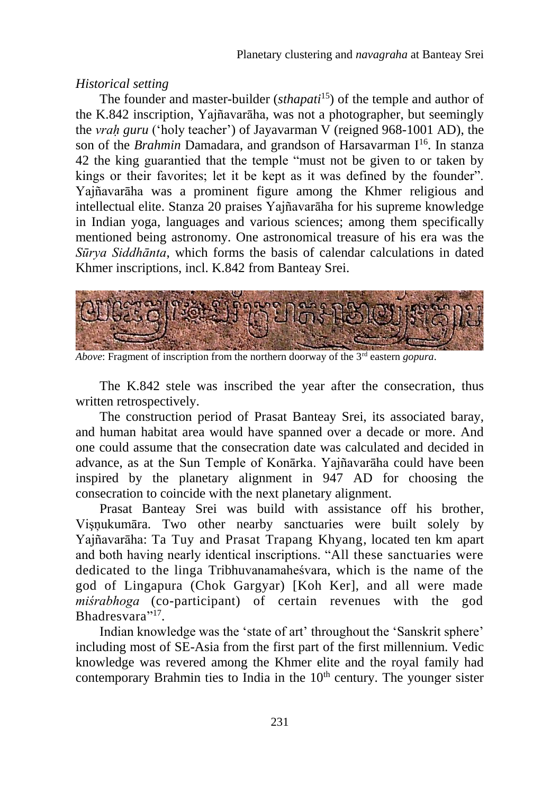### *Historical setting*

The founder and master-builder *(sthapati*<sup>15</sup>) of the temple and author of the K.842 inscription, Yajñavarāha, was not a photographer, but seemingly the *vraḥ guru* ('holy teacher') of Jayavarman V (reigned 968-1001 AD), the son of the *Brahmin* Damadara, and grandson of Harsavarman I<sup>16</sup>. In stanza 42 the king guarantied that the temple "must not be given to or taken by kings or their favorites; let it be kept as it was defined by the founder". Yajñavarāha was a prominent figure among the Khmer religious and intellectual elite. Stanza 20 praises Yajñavarāha for his supreme knowledge in Indian yoga, languages and various sciences; among them specifically mentioned being astronomy. One astronomical treasure of his era was the *Sūrya Siddhānta*, which forms the basis of calendar calculations in dated Khmer inscriptions, incl. K.842 from Banteay Srei.



*Above*: Fragment of inscription from the northern doorway of the 3<sup>rd</sup> eastern *gopura*.

The K.842 stele was inscribed the year after the consecration, thus written retrospectively.

The construction period of Prasat Banteay Srei, its associated baray, and human habitat area would have spanned over a decade or more. And one could assume that the consecration date was calculated and decided in advance, as at the Sun Temple of Konārka. Yajñavarāha could have been inspired by the planetary alignment in 947 AD for choosing the consecration to coincide with the next planetary alignment.

Prasat Banteay Srei was build with assistance off his brother, Vişņukumāra. Two other nearby sanctuaries were built solely by Yajñavarāha: Ta Tuy and Prasat Trapang Khyang, located ten km apart and both having nearly identical inscriptions. "All these sanctuaries were dedicated to the linga Tribhuvanamaheśvara, which is the name of the god of Lingapura (Chok Gargyar) [Koh Ker], and all were made *miśrabhoga* (co-participant) of certain revenues with the god Bhadresvara"<sup>17</sup>.

Indian knowledge was the 'state of art' throughout the 'Sanskrit sphere' including most of SE-Asia from the first part of the first millennium. Vedic knowledge was revered among the Khmer elite and the royal family had contemporary Brahmin ties to India in the  $10<sup>th</sup>$  century. The younger sister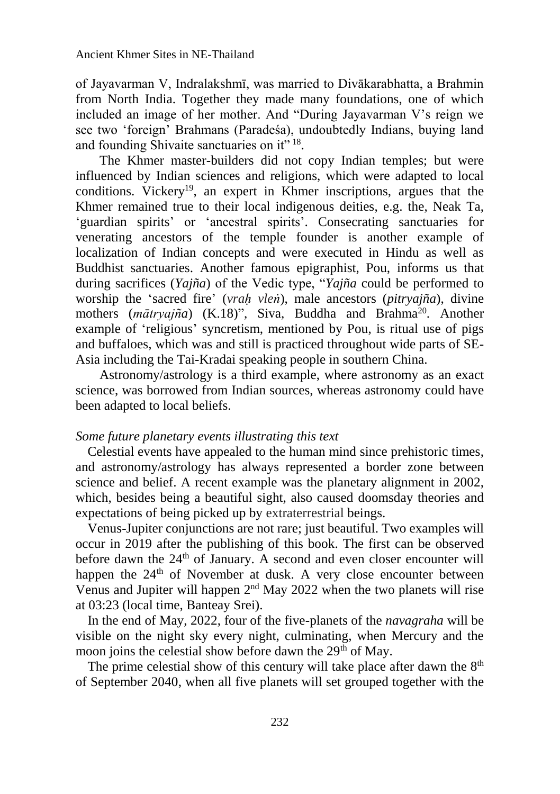of Jayavarman V, Indralakshmī, was married to Divākarabhatta, a Brahmin from North India. Together they made many foundations, one of which included an image of her mother. And "During Jayavarman V's reign we see two 'foreign' Brahmans (Paradeśa), undoubtedly Indians, buying land and founding Shivaite sanctuaries on it"<sup>18</sup>.

The Khmer master-builders did not copy Indian temples; but were influenced by Indian sciences and religions, which were adapted to local conditions. Vickery<sup>19</sup>, an expert in Khmer inscriptions, argues that the Khmer remained true to their local indigenous deities, e.g. the, Neak Ta, 'guardian spirits' or 'ancestral spirits'. Consecrating sanctuaries for venerating ancestors of the temple founder is another example of localization of Indian concepts and were executed in Hindu as well as Buddhist sanctuaries. Another famous epigraphist, Pou, informs us that during sacrifices (*Yajña*) of the Vedic type, "*Yajña* could be performed to worship the 'sacred fire' (*vraḥ vleṅ*), male ancestors (*pitryajña*), divine mothers (*mātryajña*) (K.18)", Siva, Buddha and Brahma<sup>20</sup> . Another example of 'religious' syncretism, mentioned by Pou, is ritual use of pigs and buffaloes, which was and still is practiced throughout wide parts of SE-Asia including the Tai-Kradai speaking people in southern China.

Astronomy/astrology is a third example, where astronomy as an exact science, was borrowed from Indian sources, whereas astronomy could have been adapted to local beliefs.

#### *Some future planetary events illustrating this text*

Celestial events have appealed to the human mind since prehistoric times, and astronomy/astrology has always represented a border zone between science and belief. A recent example was the planetary alignment in 2002, which, besides being a beautiful sight, also caused doomsday theories and expectations of being picked up by extraterrestrial beings.

Venus-Jupiter conjunctions are not rare; just beautiful. Two examples will occur in 2019 after the publishing of this book. The first can be observed before dawn the  $24<sup>th</sup>$  of January. A second and even closer encounter will happen the 24<sup>th</sup> of November at dusk. A very close encounter between Venus and Jupiter will happen 2<sup>nd</sup> May 2022 when the two planets will rise at 03:23 (local time, Banteay Srei).

In the end of May, 2022, four of the five-planets of the *navagraha* will be visible on the night sky every night, culminating, when Mercury and the moon joins the celestial show before dawn the 29<sup>th</sup> of May.

The prime celestial show of this century will take place after dawn the  $8<sup>th</sup>$ of September 2040, when all five planets will set grouped together with the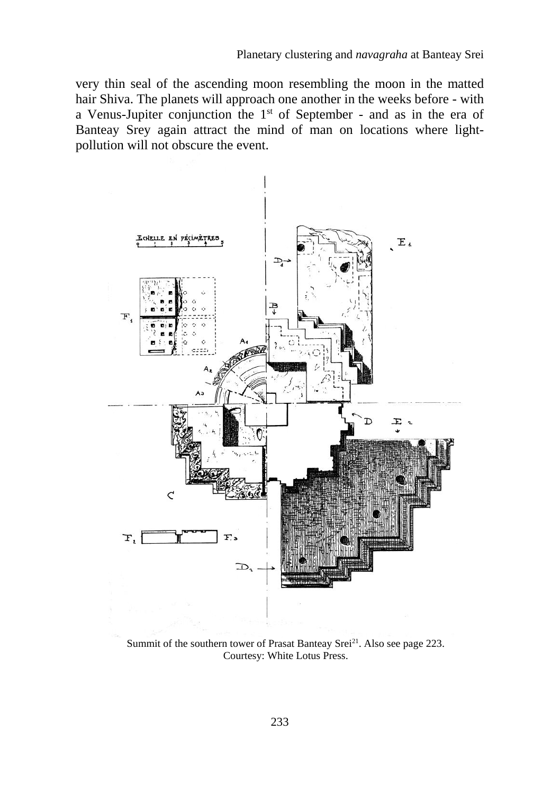very thin seal of the ascending moon resembling the moon in the matted hair Shiva. The planets will approach one another in the weeks before - with a Venus-Jupiter conjunction the 1st of September - and as in the era of Banteay Srey again attract the mind of man on locations where lightpollution will not obscure the event.



Summit of the southern tower of Prasat Banteay Srei<sup>21</sup>. Also see page 223. Courtesy: White Lotus Press.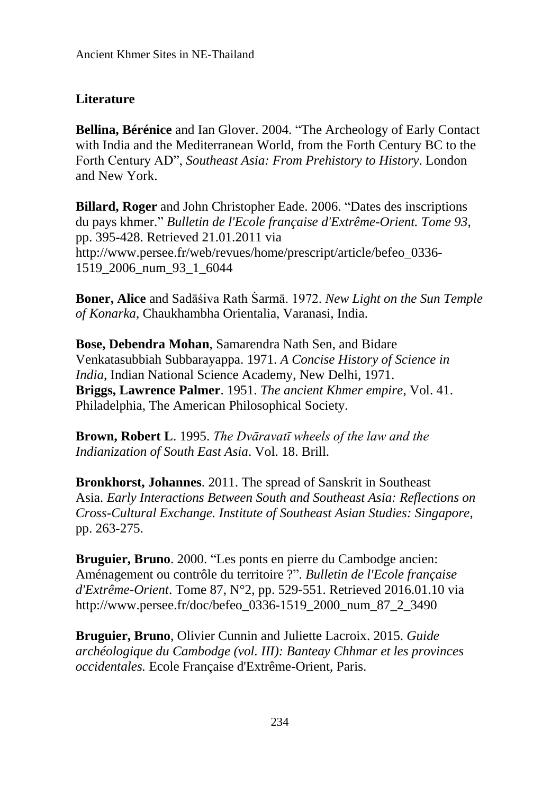## **Literature**

**Bellina, Bérénice** and Ian Glover. 2004. "The Archeology of Early Contact with India and the Mediterranean World, from the Forth Century BC to the Forth Century AD", *Southeast Asia: From Prehistory to History*. London and New York.

**Billard, Roger** and John Christopher Eade. 2006. "Dates des inscriptions du pays khmer." *Bulletin de l'Ecole française d'Extrême-Orient. Tome 93*, pp. 395-428. Retrieved 21.01.2011 via http://www.persee.fr/web/revues/home/prescript/article/befeo\_0336- 1519\_2006\_num\_93\_1\_6044

**Boner, Alice** and Sadāśiva Rath Ṡarmā. 1972. *New Light on the Sun Temple of Konarka*, Chaukhambha Orientalia, Varanasi, India.

**Bose, Debendra Mohan**, Samarendra Nath Sen, and Bidare Venkatasubbiah Subbarayappa. 1971. *A Concise History of Science in India*, Indian National Science Academy, New Delhi, 1971. **Briggs, Lawrence Palmer**. 1951. *The ancient Khmer empire*, Vol. 41. Philadelphia, The American Philosophical Society.

**Brown, Robert L**. 1995. *The Dvāravatī wheels of the law and the Indianization of South East Asia*. Vol. 18. Brill.

**Bronkhorst, Johannes**. 2011. The spread of Sanskrit in Southeast Asia. *Early Interactions Between South and Southeast Asia: Reflections on Cross-Cultural Exchange. Institute of Southeast Asian Studies: Singapore*, pp. 263-275.

**Bruguier, Bruno**. 2000. "Les ponts en pierre du Cambodge ancien: Aménagement ou contrôle du territoire ?". *Bulletin de l'Ecole française d'Extrême-Orient*. Tome 87, N°2, pp. 529-551. Retrieved 2016.01.10 via http://www.persee.fr/doc/befeo\_0336-1519\_2000\_num\_87\_2\_3490

**Bruguier, Bruno**, Olivier Cunnin and Juliette Lacroix. 2015. *Guide archéologique du Cambodge (vol. III): Banteay Chhmar et les provinces occidentales.* Ecole Française d'Extrême-Orient, Paris.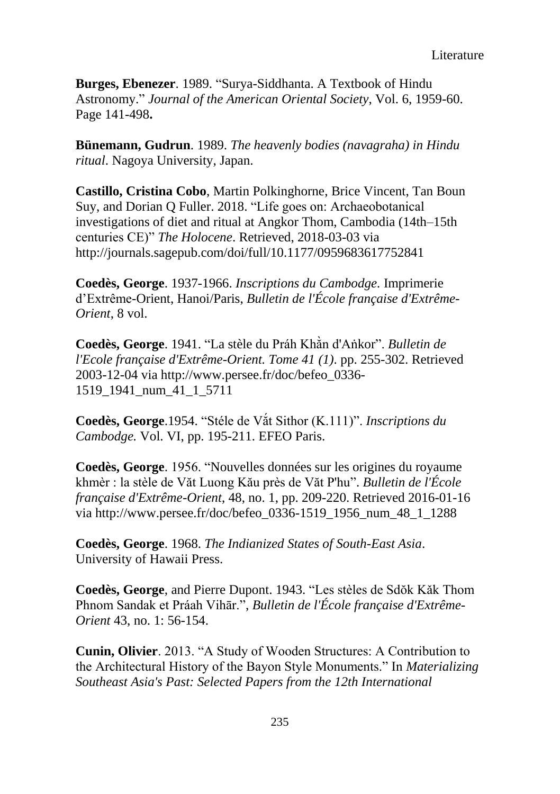Literature

**Burges, Ebenezer**. 1989. "Surya-Siddhanta. A Textbook of Hindu Astronomy." *Journal of the American Oriental Society*, Vol. 6, 1959-60. Page 141-498**.**

**Bünemann, Gudrun**. 1989. *[The heavenly bodies \(navagraha\) in Hindu](http://ir.nul.nagoya-u.ac.jp/jspui/handle/2237/19166)  [ritual](http://ir.nul.nagoya-u.ac.jp/jspui/handle/2237/19166)*. Nagoya University, Japan.

**Castillo, Cristina Cobo**, Martin Polkinghorne, Brice Vincent, Tan Boun Suy, and Dorian Q Fuller. 2018. "Life goes on: Archaeobotanical investigations of diet and ritual at Angkor Thom, Cambodia (14th–15th centuries CE)" *The Holocene*. Retrieved, 2018-03-03 via http://journals.sagepub.com/doi/full/10.1177/0959683617752841

**Coedès, George**. 1937-1966. *Inscriptions du Cambodge.* Imprimerie d'Extrême-Orient, Hanoi/Paris, *Bulletin de l'École française d'Extrême-Orient*, 8 vol.

**Coedès, George**. 1941. "La stèle du Práh Khằn d'Aṅkor". *Bulletin de l'Ecole française d'Extrême-Orient. Tome 41 (1)*. pp. 255-302. Retrieved 2003-12-04 via http://www.persee.fr/doc/befeo\_0336- 1519\_1941\_num\_41\_1\_5711

**Coedès, George**.1954. "Stéle de Vắt Sithor (K.111)". *Inscriptions du Cambodge.* Vol. VI, pp. 195-211. EFEO Paris.

**Coedès, George**. 1956. "Nouvelles données sur les origines du royaume khmèr : la stèle de Văt Luong Kău près de Văt P'hu". *Bulletin de l'École française d'Extrême-Orient*, 48, no. 1, pp. 209-220. Retrieved 2016-01-16 via http://www.persee.fr/doc/befeo\_0336-1519\_1956\_num\_48\_1\_1288

**Coedès, George**. 1968. *The Indianized States of South-East Asia*. University of Hawaii Press.

**Coedès, George**, and Pierre Dupont. 1943. "Les stèles de Sdŏk Kǎk Thom Phnom Sandak et Práah Vihār.", *Bulletin de l'École française d'Extrême-Orient* 43, no. 1: 56-154.

**Cunin, Olivier**. 2013. "A Study of Wooden Structures: A Contribution to the Architectural History of the Bayon Style Monuments." In *Materializing Southeast Asia's Past: Selected Papers from the 12th International*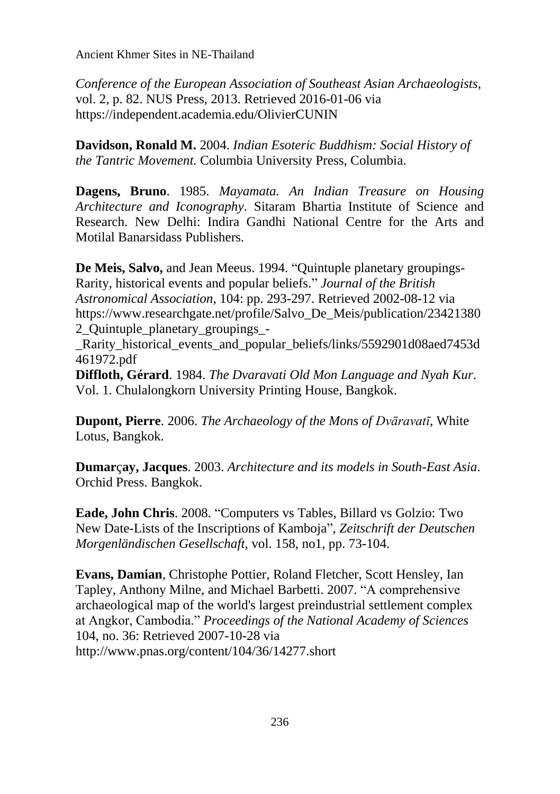*Conference of the European Association of Southeast Asian Archaeologists*, vol. 2, p. 82. NUS Press, 2013. Retrieved 2016-01-06 via https://independent.academia.edu/OlivierCUNIN

**Davidson, Ronald M.** 2004. *Indian Esoteric Buddhism: Social History of the Tantric Movement.* Columbia University Press, Columbia.

**Dagens, Bruno**. 1985. *Mayamata. An Indian Treasure on Housing Architecture and Iconography*. Sitaram Bhartia Institute of Science and Research. New Delhi: Indira Gandhi National Centre for the Arts and Motilal Banarsidass Publishers.

**De Meis, Salvo,** and Jean Meeus. 1994. "Quintuple planetary groupings-Rarity, historical events and popular beliefs." *Journal of the British Astronomical Association*, 104: pp. 293-297. Retrieved 2002-08-12 via https://www.researchgate.net/profile/Salvo\_De\_Meis/publication/23421380 2\_Quintuple\_planetary\_groupings\_-

Rarity historical events and popular beliefs/links/5592901d08aed7453d 461972.pdf

**Diffloth, Gérard**. 1984. *The Dvaravati Old Mon Language and Nyah Kur*. Vol. 1. Chulalongkorn University Printing House, Bangkok.

**Dupont, Pierre**. 2006. *The Archaeology of the Mons of Dvāravatī*, White Lotus, Bangkok.

**Dumar**ç**ay, Jacques**. 2003. *Architecture and its models in South-East Asia*. Orchid Press. Bangkok.

**Eade, John Chris**. 2008. "Computers vs Tables, Billard vs Golzio: Two New Date-Lists of the Inscriptions of Kamboja", *Zeitschrift der Deutschen Morgenländischen Gesellschaft*, vol. 158, no1, pp. 73-104.

**Evans, Damian**, Christophe Pottier, Roland Fletcher, Scott Hensley, Ian Tapley, Anthony Milne, and Michael Barbetti. 2007. "A comprehensive archaeological map of the world's largest preindustrial settlement complex at Angkor, Cambodia." *Proceedings of the National Academy of Sciences* 104, no. 36: Retrieved 2007-10-28 via http://www.pnas.org/content/104/36/14277.short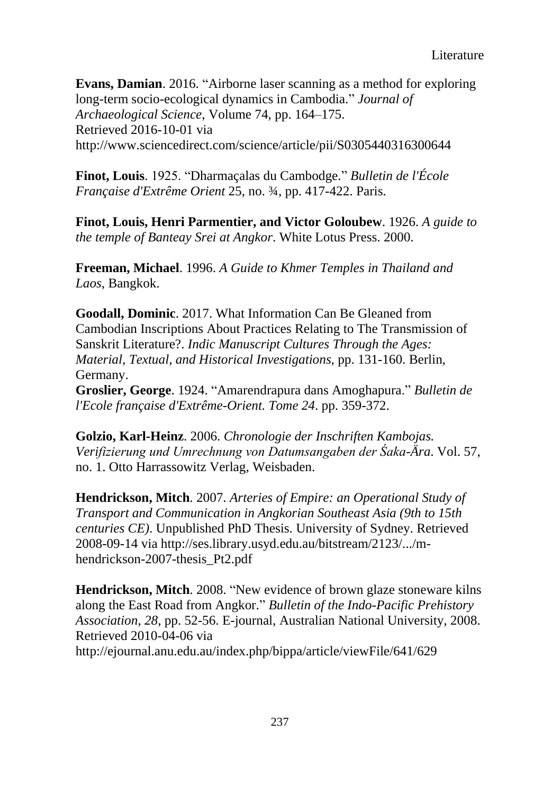**Evans, Damian**. 2016. "Airborne laser scanning as a method for exploring long-term socio-ecological dynamics in Cambodia." *Journal of Archaeological Science*, Volume 74, pp. 164–175. Retrieved 2016-10-01 via http://www.sciencedirect.com/science/article/pii/S0305440316300644

**Finot, Louis**. 1925. "Dharmaçalas du Cambodge." *Bulletin de l'École Française d'Extrême Orient* 25, no. ¾, pp. 417-422. Paris.

**Finot, Louis, Henri Parmentier, and Victor Goloubew**. 1926. *A guide to the temple of Banteay Srei at Angkor*. White Lotus Press. 2000.

**Freeman, Michael**. 1996. *A Guide to Khmer Temples in Thailand and Laos*, Bangkok.

**Goodall, Dominic**. 2017. What Information Can Be Gleaned from Cambodian Inscriptions About Practices Relating to The Transmission of Sanskrit Literature?. *Indic Manuscript Cultures Through the Ages: Material, Textual, and Historical Investigations*, pp. 131-160. Berlin, Germany.

**Groslier, George**. 1924. "Amarendrapura dans Amoghapura." *Bulletin de l'Ecole française d'Extrême-Orient. Tome 24*. pp. 359-372.

**Golzio, Karl-Heinz**. 2006. *Chronologie der Inschriften Kambojas. Verifizierung und Umrechnung von Datumsangaben der Śaka-Ära*. Vol. 57, no. 1. Otto Harrassowitz Verlag, Weisbaden.

**Hendrickson, Mitch**. 2007. *Arteries of Empire: an Operational Study of Transport and Communication in Angkorian Southeast Asia (9th to 15th centuries CE)*. Unpublished PhD Thesis. University of Sydney. Retrieved 2008-09-14 via http://ses.library.usyd.edu.au/bitstream/2123/.../mhendrickson-2007-thesis\_Pt2.pdf

**Hendrickson, Mitch**. 2008. "New evidence of brown glaze stoneware kilns along the East Road from Angkor." *Bulletin of the Indo-Pacific Prehistory Association*, *28*, pp. 52-56. E-journal, Australian National University, 2008. Retrieved 2010-04-06 via

<http://ejournal.anu.edu.au/index.php/bippa/article/viewFile/641/629>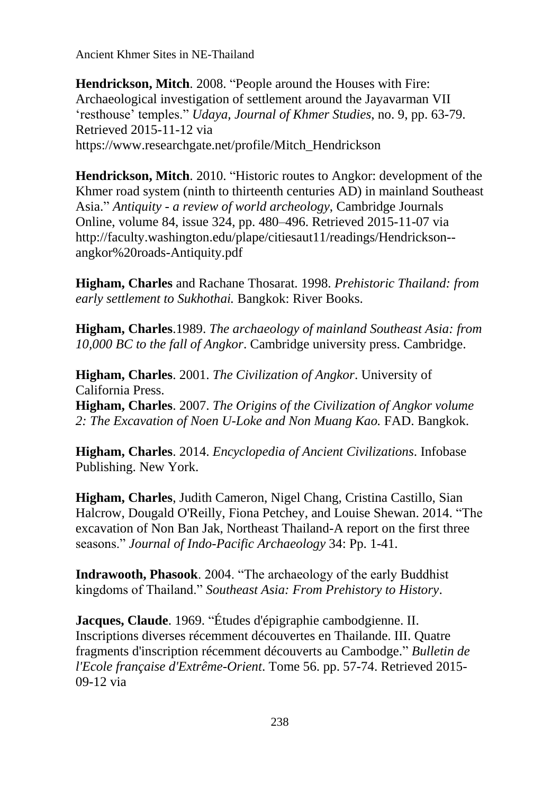**Hendrickson, Mitch**. 2008. "People around the Houses with Fire: Archaeological investigation of settlement around the Jayavarman VII 'resthouse' temples." *Udaya, Journal of Khmer Studies*, no. 9, pp. 63-79. Retrieved 2015-11-12 via https://www.researchgate.net/profile/Mitch\_Hendrickson

**Hendrickson, Mitch**. 2010. "Historic routes to Angkor: development of the Khmer road system (ninth to thirteenth centuries AD) in mainland Southeast Asia." *Antiquity - a review of world archeology*, Cambridge Journals Online, volume 84, issue 324, pp. 480–496. Retrieved 2015-11-07 via http://faculty.washington.edu/plape/citiesaut11/readings/Hendrickson- angkor%20roads-Antiquity.pdf

**Higham, Charles** and Rachane Thosarat. 1998. *Prehistoric Thailand: from early settlement to Sukhothai.* Bangkok: River Books.

**Higham, Charles**.1989. *The archaeology of mainland Southeast Asia: from 10,000 BC to the fall of Angkor*. Cambridge university press. Cambridge.

**Higham, Charles**. 2001. *The Civilization of Angkor*. University of California Press.

**Higham, Charles**. 2007. *The Origins of the Civilization of Angkor volume 2: The Excavation of Noen U-Loke and Non Muang Kao.* FAD. Bangkok.

**Higham, Charles**. 2014. *Encyclopedia of Ancient Civilizations*. Infobase Publishing. New York.

**Higham, Charles**, Judith Cameron, Nigel Chang, Cristina Castillo, Sian Halcrow, Dougald O'Reilly, Fiona Petchey, and Louise Shewan. 2014. "The excavation of Non Ban Jak, Northeast Thailand-A report on the first three seasons." *Journal of Indo-Pacific Archaeology* 34: Pp. 1-41.

**Indrawooth, Phasook**. 2004. "The archaeology of the early Buddhist kingdoms of Thailand." *Southeast Asia: From Prehistory to History*.

**Jacques, Claude**. 1969. "Études d'épigraphie cambodgienne. II. Inscriptions diverses récemment découvertes en Thailande. III. Quatre fragments d'inscription récemment découverts au Cambodge." *Bulletin de l'Ecole française d'Extrême-Orient*. Tome 56. pp. 57-74. Retrieved 2015- 09-12 via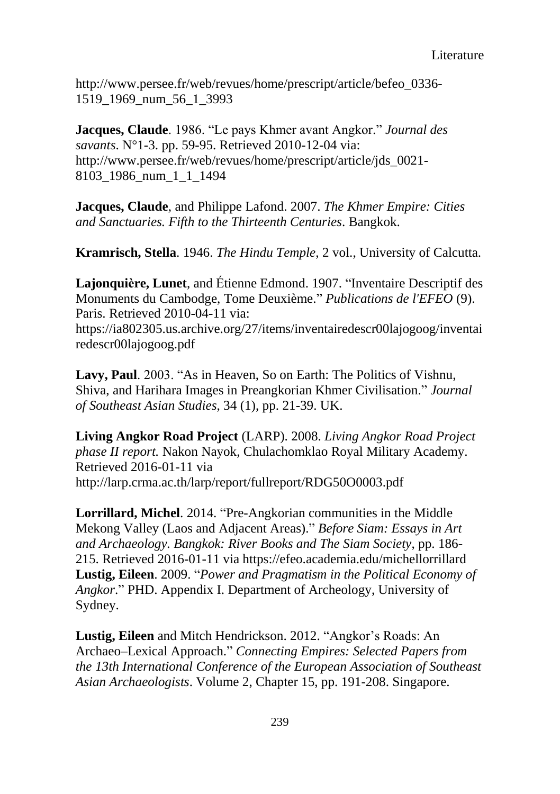http://www.persee.fr/web/revues/home/prescript/article/befeo\_0336- 1519\_1969\_num\_56\_1\_3993

**Jacques, Claude**. 1986. "Le pays Khmer avant Angkor." *Journal des savants*. N°1-3. pp. 59-95. Retrieved 2010-12-04 via: http://www.persee.fr/web/revues/home/prescript/article/jds\_0021- 8103\_1986\_num\_1\_1\_1494

**Jacques, Claude**, and Philippe Lafond. 2007. *The Khmer Empire: Cities and Sanctuaries. Fifth to the Thirteenth Centuries*. Bangkok.

**Kramrisch, Stella**. 1946. *The Hindu Temple*, 2 vol., University of Calcutta.

**Lajonquière, Lunet**, and Étienne Edmond. 1907. "Inventaire Descriptif des Monuments du Cambodge, Tome Deuxième." *Publications de l'EFEO* (9). Paris. Retrieved 2010-04-11 via:

https://ia802305.us.archive.org/27/items/inventairedescr00lajogoog/inventai redescr00lajogoog.pdf

**Lavy, Paul**. 2003. "As in Heaven, So on Earth: The Politics of Vishnu, Shiva, and Harihara Images in Preangkorian Khmer Civilisation." *Journal of Southeast Asian Studies*, 34 (1), pp. 21-39. UK.

**Living Angkor Road Project** (LARP). 2008. *Living Angkor Road Project phase II report.* Nakon Nayok, Chulachomklao Royal Military Academy. Retrieved 2016-01-11 via http://larp.crma.ac.th/larp/report/fullreport/RDG50O0003.pdf

**Lorrillard, Michel**. 2014. "Pre-Angkorian communities in the Middle Mekong Valley (Laos and Adjacent Areas)." *Before Siam: Essays in Art and Archaeology. Bangkok: River Books and The Siam Society*, pp. 186- 215. Retrieved 2016-01-11 via https://efeo.academia.edu/michellorrillard **Lustig, Eileen**. 2009. "*Power and Pragmatism in the Political Economy of Angkor*." PHD. Appendix I. Department of Archeology, University of Sydney.

**Lustig, Eileen** and Mitch Hendrickson. 2012. "Angkor's Roads: An Archaeo–Lexical Approach." *Connecting Empires: Selected Papers from the 13th International Conference of the European Association of Southeast Asian Archaeologists*. Volume 2, Chapter 15, pp. 191-208. Singapore.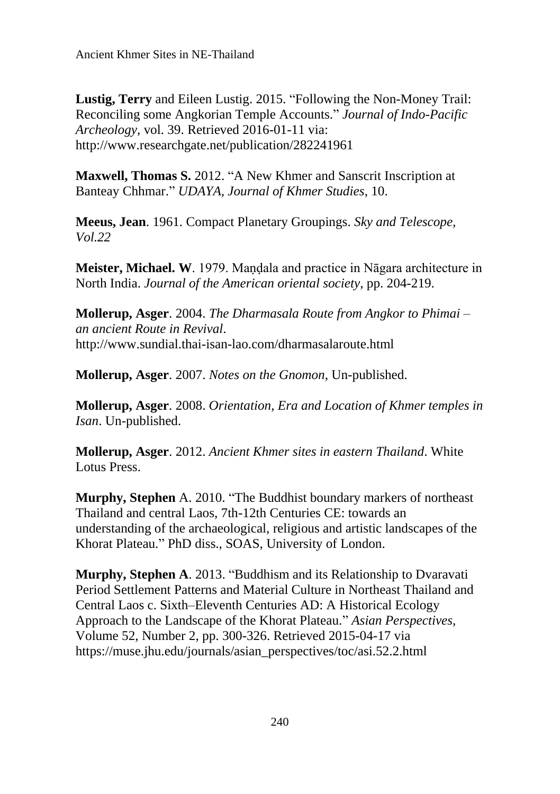**Lustig, Terry** and Eileen Lustig. 2015. "Following the Non-Money Trail: Reconciling some Angkorian Temple Accounts." *Journal of Indo-Pacific Archeology*, vol. 39. Retrieved 2016-01-11 via: http://www.researchgate.net/publication/282241961

**Maxwell, Thomas S.** 2012. "A New Khmer and Sanscrit Inscription at Banteay Chhmar." *UDAYA, Journal of Khmer Studies*, 10.

**Meeus, Jean**. 1961. Compact Planetary Groupings. *Sky and Telescope, Vol.22*

**Meister, Michael. W.** 1979. Mandala and practice in Nāgara architecture in North India. *Journal of the American oriental society*, pp. 204-219.

**Mollerup, Asger**. 2004. *The Dharmasala Route from Angkor to Phimai – an ancient Route in Revival*. http://www.sundial.thai-isan-lao.com/dharmasalaroute.html

**Mollerup, Asger**. 2007. *Notes on the Gnomon*, Un-published.

**Mollerup, Asger**. 2008. *Orientation, Era and Location of Khmer temples in Isan*. Un-published.

**Mollerup, Asger**. 2012. *Ancient Khmer sites in eastern Thailand*. White Lotus Press.

**Murphy, Stephen** A. 2010. "The Buddhist boundary markers of northeast Thailand and central Laos, 7th-12th Centuries CE: towards an understanding of the archaeological, religious and artistic landscapes of the Khorat Plateau." PhD diss., SOAS, University of London.

**Murphy, Stephen A**. 2013. "Buddhism and its Relationship to Dvaravati Period Settlement Patterns and Material Culture in Northeast Thailand and Central Laos c. Sixth–Eleventh Centuries AD: A Historical Ecology Approach to the Landscape of the Khorat Plateau." *Asian Perspectives*, Volume 52, Number 2, pp. 300-326. Retrieved 2015-04-17 via https://muse.jhu.edu/journals/asian\_perspectives/toc/asi.52.2.html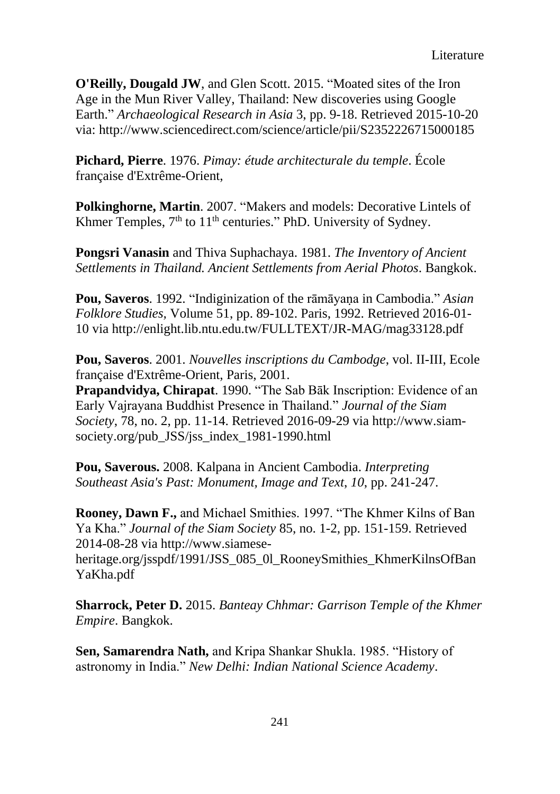**O'Reilly, Dougald JW**, and Glen Scott. 2015. "Moated sites of the Iron Age in the Mun River Valley, Thailand: New discoveries using Google Earth." *Archaeological Research in Asia* 3, pp. 9-18. Retrieved 2015-10-20 via: http://www.sciencedirect.com/science/article/pii/S2352226715000185

**Pichard, Pierre**. 1976. *Pimay: étude architecturale du temple*. École française d'Extrême-Orient,

**Polkinghorne, Martin**. 2007. "Makers and models: Decorative Lintels of Khmer Temples,  $7<sup>th</sup>$  to  $11<sup>th</sup>$  centuries." PhD. University of Sydney.

**Pongsri Vanasin** and Thiva Suphachaya. 1981. *The Inventory of Ancient Settlements in Thailand. Ancient Settlements from Aerial Photos*. Bangkok.

**Pou, Saveros**. 1992. "Indiginization of the rāmāyaṇa in Cambodia." *Asian Folklore Studies,* Volume 51, pp. 89-102. Paris, 1992. Retrieved 2016-01- 10 via http://enlight.lib.ntu.edu.tw/FULLTEXT/JR-MAG/mag33128.pdf

**Pou, Saveros**. 2001. *Nouvelles inscriptions du Cambodge*, vol. II-III, Ecole française d'Extrême-Orient, Paris, 2001.

**Prapandvidya, Chirapat**. 1990. "The Sab Bāk Inscription: Evidence of an Early Vajrayana Buddhist Presence in Thailand." *Journal of the Siam Society*, 78, no. 2, pp. 11-14. Retrieved 2016-09-29 via http://www.siamsociety.org/pub JSS/jss index 1981-1990.html

**Pou, Saverous.** 2008. Kalpana in Ancient Cambodia. *Interpreting Southeast Asia's Past: Monument, Image and Text*, *10*, pp. 241-247.

**Rooney, Dawn F.,** and Michael Smithies. 1997. "The Khmer Kilns of Ban Ya Kha." *Journal of the Siam Society* 85, no. 1-2, pp. 151-159. Retrieved 2014-08-28 via http://www.siamese-

heritage.org/jsspdf/1991/JSS\_085\_0l\_RooneySmithies\_KhmerKilnsOfBan YaKha.pdf

**Sharrock, Peter D.** 2015. *Banteay Chhmar: Garrison Temple of the Khmer Empire*. Bangkok.

**Sen, Samarendra Nath,** and Kripa Shankar Shukla. 1985. "History of astronomy in India." *New Delhi: Indian National Science Academy*.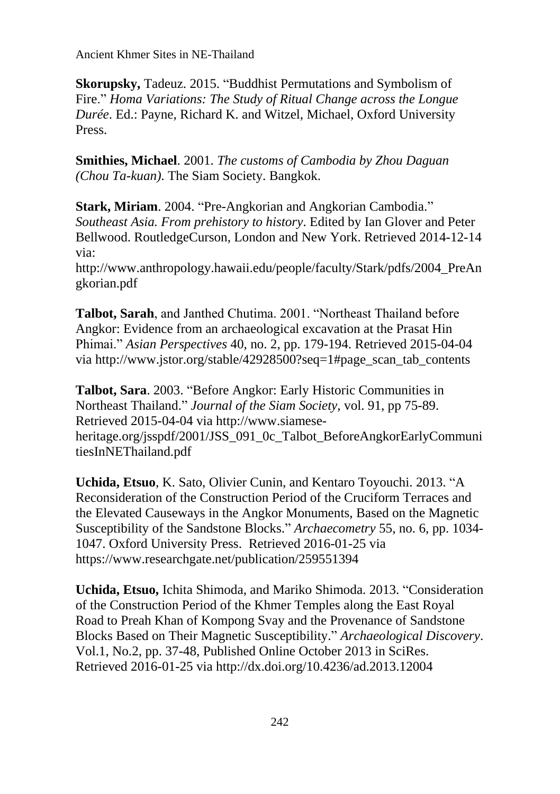**Skorupsky,** Tadeuz. 2015. "Buddhist Permutations and Symbolism of Fire." *Homa Variations: The Study of Ritual Change across the Longue Durée*. Ed.: Payne, Richard K. and Witzel, Michael, Oxford University Press.

**Smithies, Michael**. 2001. *The customs of Cambodia by Zhou Daguan (Chou Ta-kuan)*. The Siam Society. Bangkok.

**Stark, Miriam**. 2004. "Pre-Angkorian and Angkorian Cambodia." *Southeast Asia. From prehistory to history*. Edited by Ian Glover and Peter Bellwood. RoutledgeCurson, London and New York. Retrieved 2014-12-14 via:

http://www.anthropology.hawaii.edu/people/faculty/Stark/pdfs/2004\_PreAn gkorian.pdf

**Talbot, Sarah**, and Janthed Chutima. 2001. "Northeast Thailand before Angkor: Evidence from an archaeological excavation at the Prasat Hin Phimai." *Asian Perspectives* 40, no. 2, pp. 179-194. Retrieved 2015-04-04 via http://www.jstor.org/stable/42928500?seq=1#page\_scan\_tab\_contents

**Talbot, Sara**. 2003. "Before Angkor: Early Historic Communities in Northeast Thailand." *Journal of the Siam Society*, vol. 91, pp 75-89. Retrieved 2015-04-04 via http://www.siameseheritage.org/jsspdf/2001/JSS\_091\_0c\_Talbot\_BeforeAngkorEarlyCommuni tiesInNEThailand.pdf

**Uchida, Etsuo**, K. Sato, Olivier Cunin, and Kentaro Toyouchi. 2013. "A Reconsideration of the Construction Period of the Cruciform Terraces and the Elevated Causeways in the Angkor Monuments, Based on the Magnetic Susceptibility of the Sandstone Blocks." *Archaecometry* 55, no. 6, pp. 1034- 1047. Oxford University Press. Retrieved 2016-01-25 via https://www.researchgate.net/publication/259551394

**Uchida, Etsuo,** Ichita Shimoda, and Mariko Shimoda. 2013. "Consideration of the Construction Period of the Khmer Temples along the East Royal Road to Preah Khan of Kompong Svay and the Provenance of Sandstone Blocks Based on Their Magnetic Susceptibility." *Archaeological Discovery*. Vol.1, No.2, pp. 37-48, Published Online October 2013 in SciRes. Retrieved 2016-01-25 via http://dx.doi.org/10.4236/ad.2013.12004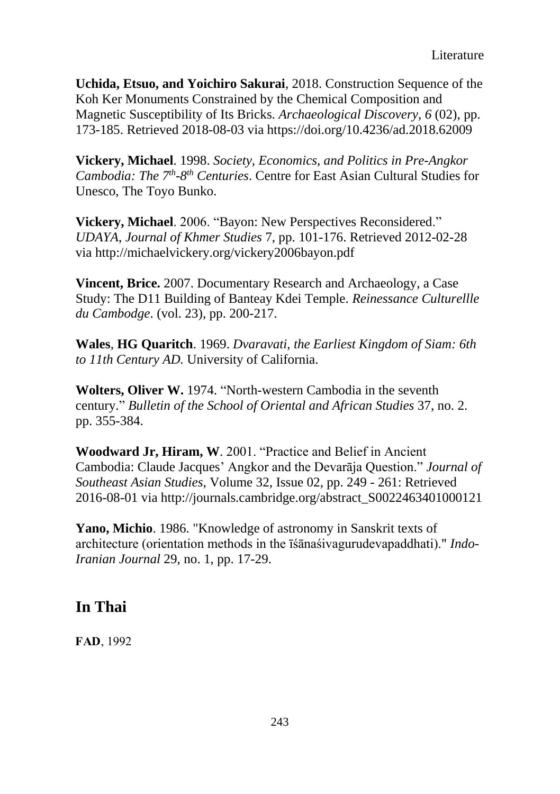**Uchida, Etsuo, and Yoichiro Sakurai**, 2018. Construction Sequence of the Koh Ker Monuments Constrained by the Chemical Composition and Magnetic Susceptibility of Its Bricks. *Archaeological Discovery*, *6* (02), pp. 173-185. Retrieved 2018-08-03 via https://doi.org/10.4236/ad.2018.62009

**Vickery, Michael**. 1998. *Society, Economics, and Politics in Pre-Angkor Cambodia: The 7th -8 th Centuries*. Centre for East Asian Cultural Studies for Unesco, The Toyo Bunko.

**Vickery, Michael**. 2006. "Bayon: New Perspectives Reconsidered." *UDAYA*, *Journal of Khmer Studies* 7, pp. 101-176. Retrieved 2012-02-28 via http://michaelvickery.org/vickery2006bayon.pdf

**Vincent, Brice.** 2007. Documentary Research and Archaeology, a Case Study: The D11 Building of Banteay Kdei Temple. *Reinessance Culturellle du Cambodge*. (vol. 23), pp. 200-217.

**Wales**, **HG Quaritch**. 1969. *Dvaravati, the Earliest Kingdom of Siam: 6th to 11th Century AD.* University of California.

**Wolters, Oliver W.** 1974. "North-western Cambodia in the seventh century." *Bulletin of the School of Oriental and African Studies* 37, no. 2. pp. 355-384.

**Woodward Jr, Hiram, W**. 2001. "Practice and Belief in Ancient Cambodia: Claude Jacques' Angkor and the Devarāja Question." *Journal of Southeast Asian Studies*, Volume 32, Issue 02, pp. 249 - 261: Retrieved 2016-08-01 via http://journals.cambridge.org/abstract\_S0022463401000121

**Yano, Michio**. 1986. "Knowledge of astronomy in Sanskrit texts of architecture (orientation methods in the īśānaśivagurudevapaddhati)." *Indo-Iranian Journal* 29, no. 1, pp. 17-29.

## **In Thai**

**FAD**, 1992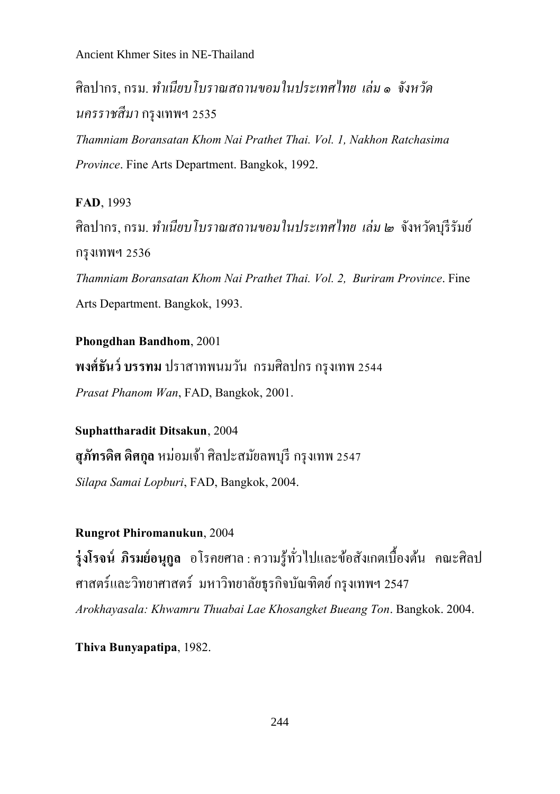ศิลปากร, กรม. *ท ำเนียบโบรำณสถำนขอมในประเทศไทย เล่ม ๑ จังหวัด นครรำชสีมำ*กรุงเทพฯ 2535

*Thamniam Boransatan Khom Nai PrathetThai. Vol.1, Nakhon Ratchasima Province*. Fine Arts Department. Bangkok, 1992.

**FAD**, 1993 ศิลปากร, กรม. *ท ำเนียบโบรำณสถำนขอมในประเทศไทย เล่ม ๒* จังหวัดบุรีรัมย์ กรุงเทพฯ 2536 *Thamniam Boransatan Khom Nai Prathet Thai. Vol.2, Buriram Province*. Fine Arts Department. Bangkok, 1993.

**Phongdhan Bandhom**, 2001 **พงศ์ธันว์ บรรทม** ปราสาทพนมวัน กรมศิลปกร กรุงเทพ 2544 *Prasat Phanom Wan*, FAD, Bangkok, 2001.

**Suphattharadit Ditsakun**, 2004 **สุภัทรดศิ ดิศกลุ** หม่อมเจา้ศิลปะสมัยลพบุรี กรุงเทพ 2547 *Silapa Samai Lopburi*, FAD, Bangkok, 2004.

### **Rungrot Phiromanukun**, 2004

**รุ่งโรจน์ ภิรมย์อนุกลู** อโรคยศาล:ความรู้ทวั่ ไปและขอ้สังเกตเบ้ืองตน้ คณะศิลป ศาสตร์และวิทยาศาสตร์ มหาวิทยาลัยธรกิจบัณฑิตย์ กรงเทพฯ 2547 *Arokhayasala: Khwamru Thuabai Lae Khosangket Bueang Ton*. Bangkok. 2004.

**Thiva Bunyapatipa**, 1982.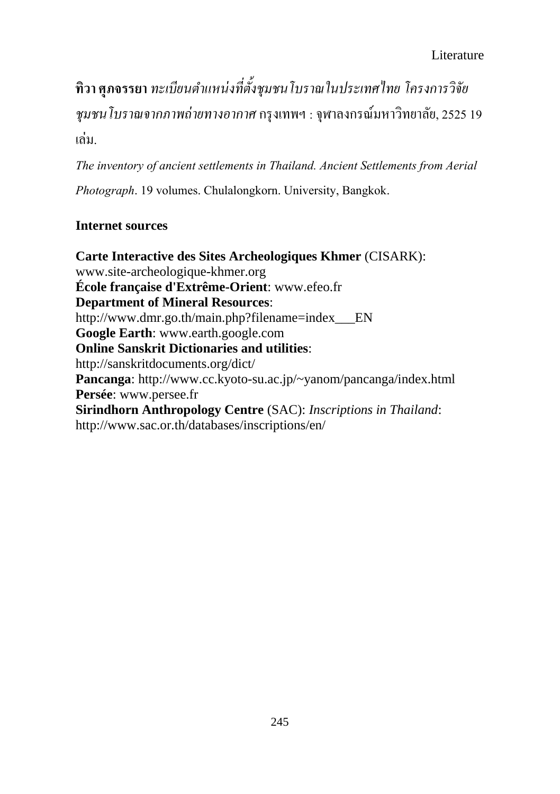**ทวิา ศุภจรรยา** *ทะเบียนต ำแหน่งที่ตั้งชุมชนโบรำณในประเทศไทย โครงกำรวิจัย ชุมชนโบรำณจำกภำพถ่ำยทำงอำกำศ*กรุงเทพฯ :จุฬาลงกรณ์มหาวิทยาลัย,2525 19 เล่ม.

*The inventory of ancient settlements in Thailand. Ancient Settlements from Aerial Photograph*. 19 volumes. Chulalongkorn. University, Bangkok.

## **Internet sources**

**Carte Interactive des Sites Archeologiques Khmer** (CISARK): www.site-archeologique-khmer.org **École française d'Extrême-Orient**: www.efeo.fr **Department of Mineral Resources**: http://www.dmr.go.th/main.php?filename=index EN **Google Earth**: www.earth.google.com **Online Sanskrit Dictionaries and utilities**: http://sanskritdocuments.org/dict/ **Pancanga**: http://www.cc.kyoto-su.ac.jp/~yanom/pancanga/index.html **Persée**: www.persee.fr **Sirindhorn Anthropology Centre** (SAC): *Inscriptions in Thailand*: http://www.sac.or.th/databases/inscriptions/en/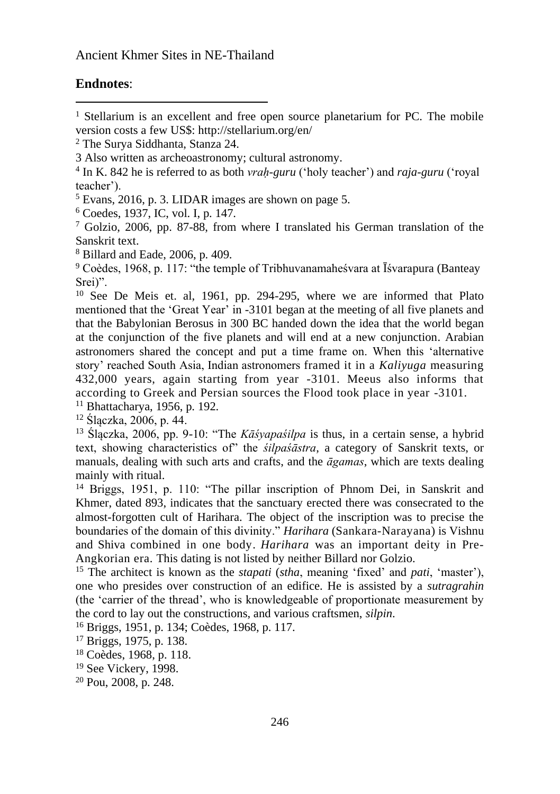#### **Endnotes**:

 $\overline{a}$ 

<sup>5</sup> Evans, 2016, p. 3. LIDAR images are shown on page 5.

<sup>6</sup> Coedes, 1937, IC, vol. I, p. 147.

 $7$  Golzio, 2006, pp. 87-88, from where I translated his German translation of the Sanskrit text.

<sup>8</sup> Billard and Eade, 2006, p. 409.

<sup>9</sup> Coèdes, 1968, p. 117: "the temple of Tribhuvanamaheśvara at Īśvarapura (Banteay Srei)".

<sup>10</sup> See De Meis et. al, 1961, pp. 294-295, where we are informed that Plato mentioned that the 'Great Year' in -3101 began at the meeting of all five planets and that the Babylonian Berosus in 300 BC handed down the idea that the world began at the conjunction of the five planets and will end at a new conjunction. Arabian astronomers shared the concept and put a time frame on. When this 'alternative story' reached South Asia, Indian astronomers framed it in a *Kaliyuga* measuring 432,000 years, again starting from year -3101. Meeus also informs that according to Greek and Persian sources the Flood took place in year -3101.

<sup>11</sup> Bhattacharya, 1956, p. 192.

<sup>12</sup> Ślączka, 2006, p. 44.

<sup>13</sup> Ślączka, 2006, pp. 9-10: "The *Kāśyapaśilpa* is thus, in a certain sense, a hybrid text, showing characteristics of" the *śilpaśāstra*, a category of Sanskrit texts, or manuals, dealing with such arts and crafts, and the *āgamas*, which are texts dealing mainly with ritual.

<sup>14</sup> Briggs, 1951, p. 110: "The pillar inscription of Phnom Dei, in Sanskrit and Khmer, dated 893, indicates that the sanctuary erected there was consecrated to the almost-forgotten cult of Harihara. The object of the inscription was to precise the boundaries of the domain of this divinity." *Harihara* (Sankara-Narayana) is Vishnu and Shiva combined in one body. *Harihara* was an important deity in Pre-Angkorian era. This dating is not listed by neither Billard nor Golzio.

<sup>15</sup> The architect is known as the *stapati* (*stha*, meaning 'fixed' and *pati*, 'master'), one who presides over construction of an edifice. He is assisted by a *sutragrahin*  (the 'carrier of the thread', who is knowledgeable of proportionate measurement by the cord to lay out the constructions, and various craftsmen, *silpin*.

<sup>16</sup> Briggs, 1951, p. 134; Coèdes, 1968, p. 117.

<sup>17</sup> Briggs, 1975, p. 138.

<sup>18</sup> Coèdes, 1968, p. 118.

<sup>19</sup> See Vickery, 1998.

<sup>&</sup>lt;sup>1</sup> Stellarium is an excellent and free open source planetarium for PC. The mobile version costs a few US\$: http://stellarium.org/en/

<sup>2</sup> The Surya Siddhanta, Stanza 24.

<sup>3</sup> Also written as archeoastronomy; cultural astronomy.

<sup>4</sup> In K. 842 he is referred to as both *vraḥ-guru* ('holy teacher') and *raja-guru* ('royal teacher').

<sup>20</sup> Pou, 2008, p. 248.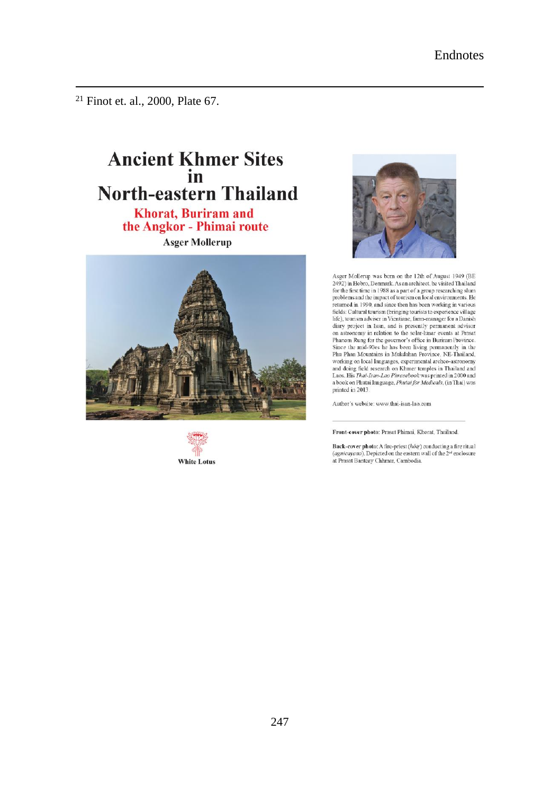<sup>21</sup> Finot et. al., 2000, Plate 67.

 $\overline{a}$ 

# **Ancient Khmer Sites** in **North-eastern Thailand**

**Khorat, Buriram and** the Angkor - Phimai route **Asger Mollerup** 







Asger Mollerup was born on the 12th of August 1949 (BE 2492) in Hobro, Denmark. As an architect, he visited Thailand for the first time in 1988 as a part of a group researching slum<br>problems and the impact of tourism on local environments. He returned in 1990, and since then has been working in various Fields: Cultural tourism (bringing tourists to experience village life), tourism adviser in Vientiane, farm-manager for a Danish diary project in Isan, and is presently permanent advisor on astronomy in relation to the solar-lunar events at Prasat<br>on astronomy in relation to the solar-lunar events at Prasat<br>Phanom Rung for the governor's office in Buriram Province.<br>Since the mid-90es he has been living per Phu Phan Mountains in Mukdahan Province, NE-Thailand, vorking on local languages, experimental archeo-astronomy<br>and doing field research on Khmer temples in Thailand and Laos. His Thai-Isan-Lao Phrasebook was printed in 2000 and a book on Phutai language, Phutai for Medicals, (in Thai) was printed in 2013.

Author's website: www.thai-isan-lao.com

Front-cover photo: Prasat Phimai, Khorat, Thailand.

**Back-cover photo:** A fire-priest  $(h\delta t)$  conducting a fire ritual (*agnicavana*). Depicted on the eastern wall of the  $2^{st}$  enclosure at Prasat Banteay Chhmar, Cambodia.